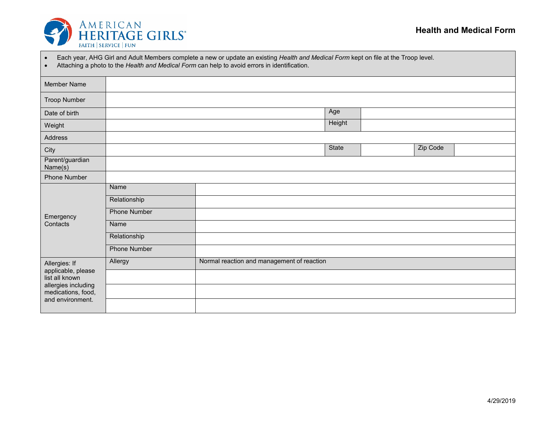

| Each year, AHG Girl and Adult Members complete a new or update an existing Health and Medical Form kept on file at the Troop level. |  |  |
|-------------------------------------------------------------------------------------------------------------------------------------|--|--|
|                                                                                                                                     |  |  |

• Attaching a photo to the *Health and Medical Form* can help to avoid errors in identification.

| Member Name                               |                                                       |  |        |  |          |  |
|-------------------------------------------|-------------------------------------------------------|--|--------|--|----------|--|
| <b>Troop Number</b>                       |                                                       |  |        |  |          |  |
| Date of birth                             |                                                       |  | Age    |  |          |  |
| Weight                                    |                                                       |  | Height |  |          |  |
| Address                                   |                                                       |  |        |  |          |  |
| City                                      |                                                       |  | State  |  | Zip Code |  |
| Parent/guardian<br>Name(s)                |                                                       |  |        |  |          |  |
| Phone Number                              |                                                       |  |        |  |          |  |
|                                           | Name                                                  |  |        |  |          |  |
|                                           | Relationship                                          |  |        |  |          |  |
| Emergency                                 | Phone Number                                          |  |        |  |          |  |
| Contacts                                  | Name                                                  |  |        |  |          |  |
|                                           | Relationship                                          |  |        |  |          |  |
|                                           | Phone Number                                          |  |        |  |          |  |
| Allergies: If                             | Normal reaction and management of reaction<br>Allergy |  |        |  |          |  |
| applicable, please<br>list all known      |                                                       |  |        |  |          |  |
| allergies including<br>medications, food, |                                                       |  |        |  |          |  |
| and environment.                          |                                                       |  |        |  |          |  |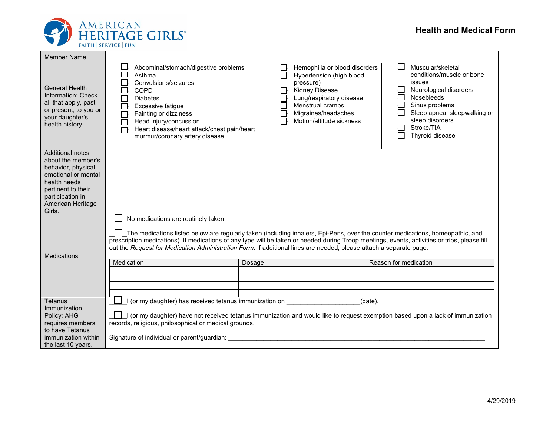

T

┑

| <b>Member Name</b>                                                                                                                                                                   |                                                                                                                                                                                                                                                                                                                                         |                                                                                                                                                                                                                                                                                                                                                                                                                 |                                                                                                                                                                                                                                   |  |  |  |
|--------------------------------------------------------------------------------------------------------------------------------------------------------------------------------------|-----------------------------------------------------------------------------------------------------------------------------------------------------------------------------------------------------------------------------------------------------------------------------------------------------------------------------------------|-----------------------------------------------------------------------------------------------------------------------------------------------------------------------------------------------------------------------------------------------------------------------------------------------------------------------------------------------------------------------------------------------------------------|-----------------------------------------------------------------------------------------------------------------------------------------------------------------------------------------------------------------------------------|--|--|--|
| <b>General Health</b><br>Information: Check<br>all that apply, past<br>or present, to you or<br>your daughter's<br>health history.                                                   | Abdominal/stomach/digestive problems<br>$\Box$<br>Asthma<br>Convulsions/seizures<br>$\Box$<br>$\Box$<br><b>COPD</b><br><b>Diabetes</b><br>□<br>Excessive fatigue<br>$\Box$<br>Fainting or dizziness<br>$\Box$<br>Head injury/concussion<br>$\Box$<br>Heart disease/heart attack/chest pain/heart<br>П<br>murmur/coronary artery disease | Hemophilia or blood disorders<br>$\Box$<br>Hypertension (high blood<br>pressure)<br><b>Kidney Disease</b><br>Lung/respiratory disease<br>$\Box$<br>E<br>Menstrual cramps<br>Migraines/headaches<br>Motion/altitude sickness                                                                                                                                                                                     | Muscular/skeletal<br>conditions/muscle or bone<br><i>issues</i><br>Neurological disorders<br>$\Box$<br>Nosebleeds<br>Sinus problems<br>Sleep apnea, sleepwalking or<br>sleep disorders<br>Stroke/TIA<br>$\sim$<br>Thyroid disease |  |  |  |
| <b>Additional notes</b><br>about the member's<br>behavior, physical,<br>emotional or mental<br>health needs<br>pertinent to their<br>participation in<br>American Heritage<br>Girls. |                                                                                                                                                                                                                                                                                                                                         |                                                                                                                                                                                                                                                                                                                                                                                                                 |                                                                                                                                                                                                                                   |  |  |  |
| <b>Medications</b>                                                                                                                                                                   | No medications are routinely taken.<br>Medication                                                                                                                                                                                                                                                                                       | The medications listed below are regularly taken (including inhalers, Epi-Pens, over the counter medications, homeopathic, and<br>prescription medications). If medications of any type will be taken or needed during Troop meetings, events, activities or trips, please fill<br>out the Request for Medication Administration Form. If additional lines are needed, please attach a separate page.<br>Dosage | Reason for medication                                                                                                                                                                                                             |  |  |  |
| Tetanus<br>Immunization<br>Policy: AHG<br>requires members<br>to have Tetanus<br>immunization within<br>the last 10 years.                                                           | $(date)$ .<br>I (or my daughter) has received tetanus immunization on<br>I (or my daughter) have not received tetanus immunization and would like to request exemption based upon a lack of immunization<br>records, religious, philosophical or medical grounds.<br>Signature of individual or parent/guardian:                        |                                                                                                                                                                                                                                                                                                                                                                                                                 |                                                                                                                                                                                                                                   |  |  |  |